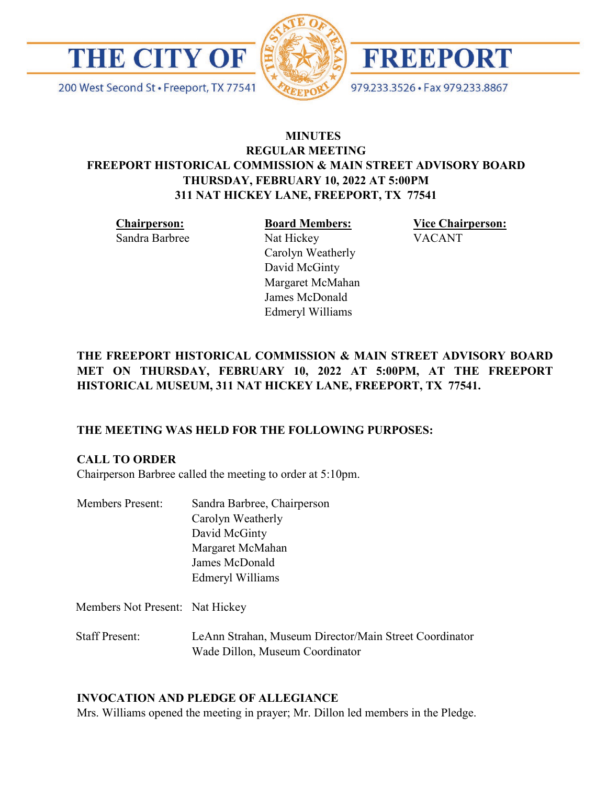

200 West Second St · Freeport, TX 77541





979.233.3526 · Fax 979.233.8867

# **MINUTES REGULAR MEETING FREEPORT HISTORICAL COMMISSION & MAIN STREET ADVISORY BOARD THURSDAY, FEBRUARY 10, 2022 AT 5:00PM 311 NAT HICKEY LANE, FREEPORT, TX 77541**

**Chairperson:** 

Sandra Barbree

**Board Members:**

Carolyn Weatherly David McGinty Margaret McMahan James McDonald Edmeryl Williams

Nat Hickey

**Vice Chairperson:**  VACANT

# **THE FREEPORT HISTORICAL COMMISSION & MAIN STREET ADVISORY BOARD MET ON THURSDAY, FEBRUARY 10, 2022 AT 5:00PM, AT THE FREEPORT HISTORICAL MUSEUM, 311 NAT HICKEY LANE, FREEPORT, TX 77541.**

# **THE MEETING WAS HELD FOR THE FOLLOWING PURPOSES:**

# **CALL TO ORDER**

Chairperson Barbree called the meeting to order at 5:10pm.

| Sandra Barbree, Chairperson |
|-----------------------------|
| Carolyn Weatherly           |
| David McGinty               |
| Margaret McMahan            |
| James McDonald              |
| Edmeryl Williams            |
|                             |

Members Not Present: Nat Hickey

Staff Present: LeAnn Strahan, Museum Director/Main Street Coordinator Wade Dillon, Museum Coordinator

# **INVOCATION AND PLEDGE OF ALLEGIANCE**

Mrs. Williams opened the meeting in prayer; Mr. Dillon led members in the Pledge.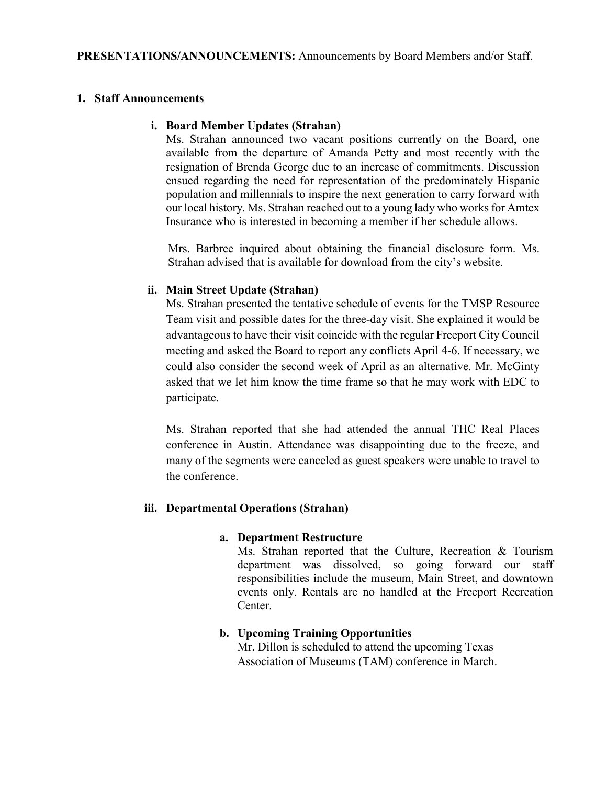### **1. Staff Announcements**

#### **i. Board Member Updates (Strahan)**

Ms. Strahan announced two vacant positions currently on the Board, one available from the departure of Amanda Petty and most recently with the resignation of Brenda George due to an increase of commitments. Discussion ensued regarding the need for representation of the predominately Hispanic population and millennials to inspire the next generation to carry forward with our local history. Ms. Strahan reached out to a young lady who works for Amtex Insurance who is interested in becoming a member if her schedule allows.

Mrs. Barbree inquired about obtaining the financial disclosure form. Ms. Strahan advised that is available for download from the city's website.

#### **ii. Main Street Update (Strahan)**

Ms. Strahan presented the tentative schedule of events for the TMSP Resource Team visit and possible dates for the three-day visit. She explained it would be advantageous to have their visit coincide with the regular Freeport City Council meeting and asked the Board to report any conflicts April 4-6. If necessary, we could also consider the second week of April as an alternative. Mr. McGinty asked that we let him know the time frame so that he may work with EDC to participate.

Ms. Strahan reported that she had attended the annual THC Real Places conference in Austin. Attendance was disappointing due to the freeze, and many of the segments were canceled as guest speakers were unable to travel to the conference.

#### **iii. Departmental Operations (Strahan)**

#### **a. Department Restructure**

Ms. Strahan reported that the Culture, Recreation & Tourism department was dissolved, so going forward our staff responsibilities include the museum, Main Street, and downtown events only. Rentals are no handled at the Freeport Recreation Center.

### **b. Upcoming Training Opportunities**

Mr. Dillon is scheduled to attend the upcoming Texas Association of Museums (TAM) conference in March.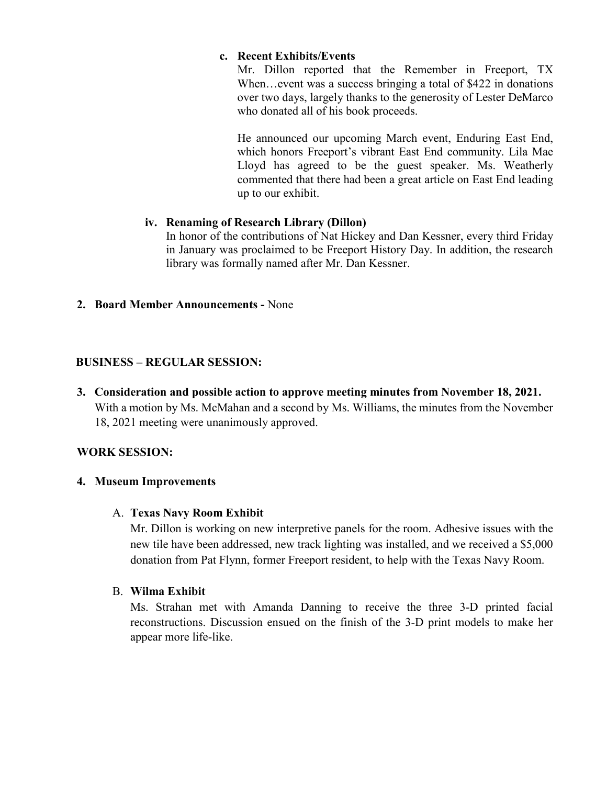### **c. Recent Exhibits/Events**

Mr. Dillon reported that the Remember in Freeport, TX When...event was a success bringing a total of \$422 in donations over two days, largely thanks to the generosity of Lester DeMarco who donated all of his book proceeds.

He announced our upcoming March event, Enduring East End, which honors Freeport's vibrant East End community. Lila Mae Lloyd has agreed to be the guest speaker. Ms. Weatherly commented that there had been a great article on East End leading up to our exhibit.

### **iv. Renaming of Research Library (Dillon)**

In honor of the contributions of Nat Hickey and Dan Kessner, every third Friday in January was proclaimed to be Freeport History Day. In addition, the research library was formally named after Mr. Dan Kessner.

**2. Board Member Announcements -** None

### **BUSINESS – REGULAR SESSION:**

**3. Consideration and possible action to approve meeting minutes from November 18, 2021.**  With a motion by Ms. McMahan and a second by Ms. Williams, the minutes from the November 18, 2021 meeting were unanimously approved.

# **WORK SESSION:**

# **4. Museum Improvements**

### A. **Texas Navy Room Exhibit**

Mr. Dillon is working on new interpretive panels for the room. Adhesive issues with the new tile have been addressed, new track lighting was installed, and we received a \$5,000 donation from Pat Flynn, former Freeport resident, to help with the Texas Navy Room.

### B. **Wilma Exhibit**

Ms. Strahan met with Amanda Danning to receive the three 3-D printed facial reconstructions. Discussion ensued on the finish of the 3-D print models to make her appear more life-like.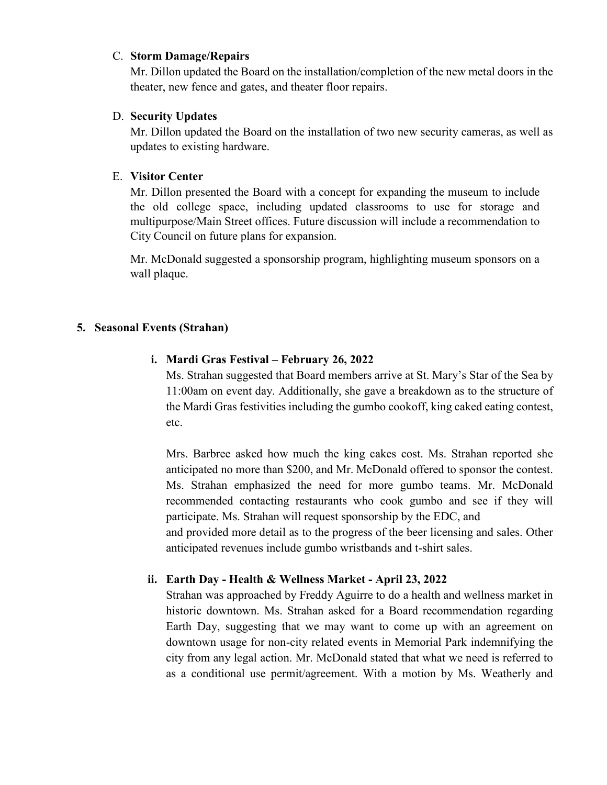#### C. **Storm Damage/Repairs**

Mr. Dillon updated the Board on the installation/completion of the new metal doors in the theater, new fence and gates, and theater floor repairs.

### D. **Security Updates**

Mr. Dillon updated the Board on the installation of two new security cameras, as well as updates to existing hardware.

### E. **Visitor Center**

Mr. Dillon presented the Board with a concept for expanding the museum to include the old college space, including updated classrooms to use for storage and multipurpose/Main Street offices. Future discussion will include a recommendation to City Council on future plans for expansion.

Mr. McDonald suggested a sponsorship program, highlighting museum sponsors on a wall plaque.

# **5. Seasonal Events (Strahan)**

# **i. Mardi Gras Festival – February 26, 2022**

Ms. Strahan suggested that Board members arrive at St. Mary's Star of the Sea by 11:00am on event day. Additionally, she gave a breakdown as to the structure of the Mardi Gras festivities including the gumbo cookoff, king caked eating contest, etc.

Mrs. Barbree asked how much the king cakes cost. Ms. Strahan reported she anticipated no more than \$200, and Mr. McDonald offered to sponsor the contest. Ms. Strahan emphasized the need for more gumbo teams. Mr. McDonald recommended contacting restaurants who cook gumbo and see if they will participate. Ms. Strahan will request sponsorship by the EDC, and

and provided more detail as to the progress of the beer licensing and sales. Other anticipated revenues include gumbo wristbands and t-shirt sales.

# **ii. Earth Day - Health & Wellness Market - April 23, 2022**

Strahan was approached by Freddy Aguirre to do a health and wellness market in historic downtown. Ms. Strahan asked for a Board recommendation regarding Earth Day, suggesting that we may want to come up with an agreement on downtown usage for non-city related events in Memorial Park indemnifying the city from any legal action. Mr. McDonald stated that what we need is referred to as a conditional use permit/agreement. With a motion by Ms. Weatherly and